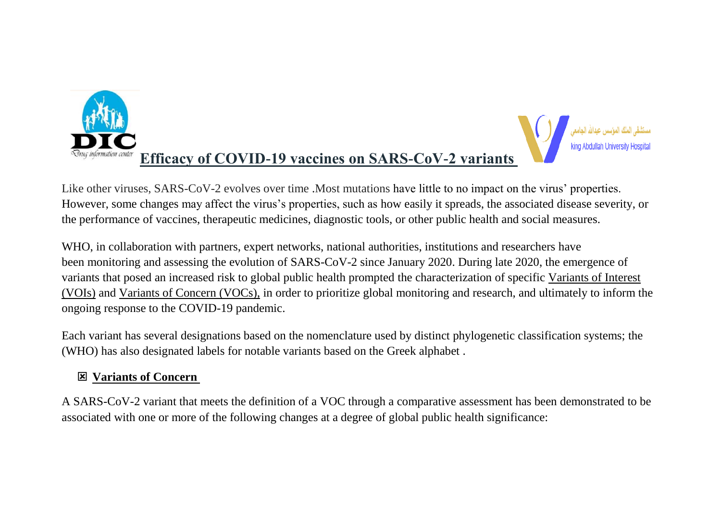



Like other viruses, SARS-CoV-2 evolves over time .Most mutations have little to no impact on the virus' properties. However, some changes may affect the virus's properties, such as how easily it spreads, the associated disease severity, or the performance of vaccines, therapeutic medicines, diagnostic tools, or other public health and social measures.

WHO, in collaboration with partners, expert networks, national authorities, institutions and researchers have been monitoring and assessing the evolution of SARS-CoV-2 since January 2020. During late 2020, the emergence of variants that posed an increased risk to global public health prompted the characterization of specific Variants of Interest (VOIs) and Variants of Concern (VOCs), in order to prioritize global monitoring and research, and ultimately to inform the ongoing response to the COVID-19 pandemic.

Each variant has several designations based on the nomenclature used by distinct phylogenetic classification systems; the (WHO) has also designated labels for notable variants based on the Greek alphabet .

# **Variants of Concern**

A SARS-CoV-2 variant that meets the definition of a VOC through a comparative assessment has been demonstrated to be associated with one or more of the following changes at a degree of global public health significance: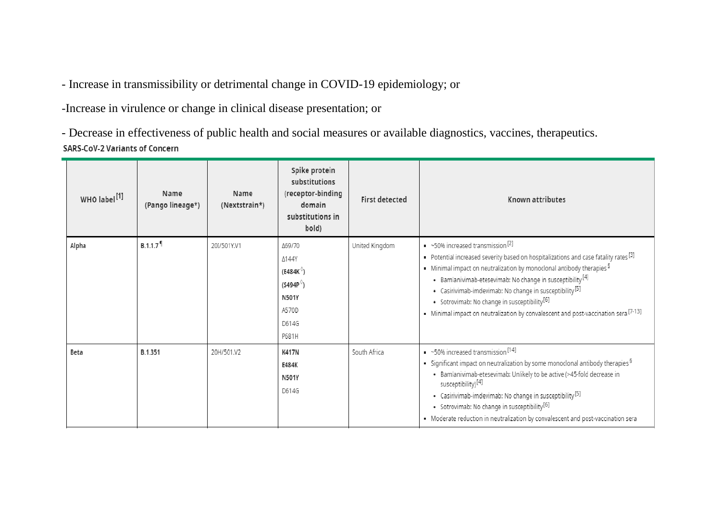- Increase in transmissibility or detrimental change in COVID-19 epidemiology; or

-Increase in virulence or change in clinical disease presentation; or

- Decrease in effectiveness of public health and social measures or available diagnostics, vaccines, therapeutics.SARS-CoV-2 Variants of Concern

| WHO label <sup>[1]</sup> | Name<br>(Pango lineage*) | Name<br>(Nextstrain*) | Spike protein<br>substitutions<br>(receptor-binding<br>domain<br>substitutions in<br>bold)               | <b>First detected</b> | Known attributes                                                                                                                                                                                                                                                                                                                                                                                                                                                                                                                                    |
|--------------------------|--------------------------|-----------------------|----------------------------------------------------------------------------------------------------------|-----------------------|-----------------------------------------------------------------------------------------------------------------------------------------------------------------------------------------------------------------------------------------------------------------------------------------------------------------------------------------------------------------------------------------------------------------------------------------------------------------------------------------------------------------------------------------------------|
| Alpha                    | $B.1.1.7$ <sup>9</sup>   | 20I/501Y.V1           | ∆69/70<br>Δ144Y<br>$(E484K^{\circ})$<br>(S494P <sup>0</sup> )<br><b>N501Y</b><br>A570D<br>D614G<br>P681H | United Kingdom        | $\sim$ ~50% increased transmission $^{[2]}$<br>Potential increased severity based on hospitalizations and case fatality rates $^{[3]}$<br>$\bullet$ Minimal impact on neutralization by monoclonal antibody therapies $^{\mathsf{S}}$<br>• Bamlanivimab-etesevimab: No change in susceptibility <sup>[4]</sup><br>• Casirivimab-imdevimab: No change in susceptibility <sup>[5]</sup><br>• Sotrovimab: No change in susceptibility <sup>[6]</sup><br>• Minimal impact on neutralization by convalescent and post-vaccination sera <sup>[7-13]</sup> |
| Beta                     | B.1.351                  | 20H/501.V2            | <b>K417N</b><br>E484K<br><b>N501Y</b><br>D614G                                                           | South Africa          | $\sim$ 50% increased transmission [14]<br>$\bullet$ Significant impact on neutralization by some monoclonal antibody therapies $^{\mathbb{S}}$<br>· Bamlanivimab-etesevimab: Unlikely to be active (>45-fold decrease in<br>susceptibility) <sup>[4]</sup><br>• Casirivimab-imdevimab: No change in susceptibility <sup>[5]</sup><br>• Sotrovimab: No change in susceptibility <sup>[6]</sup><br>• Moderate reduction in neutralization by convalescent and post-vaccination sera                                                                   |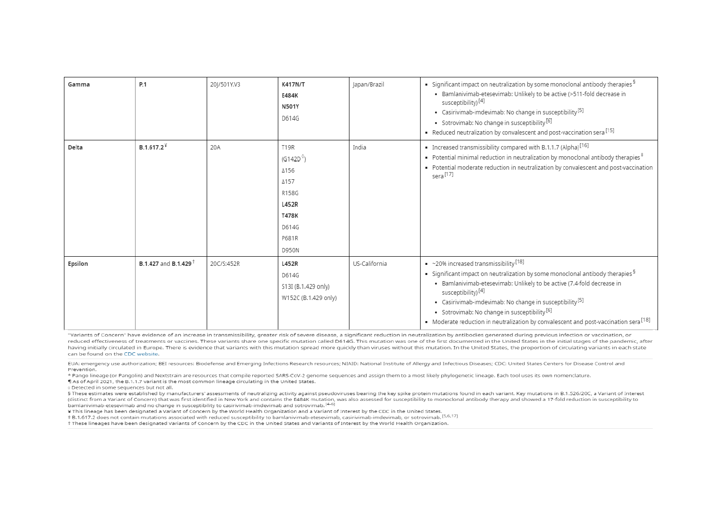| Gamma   | P.1                              | 20 /501Y.V3 | <b>K417N/T</b><br>E484K<br><b>N501Y</b><br>D614G                                                           | Japan/Brazil  | $\bullet$ Significant impact on neutralization by some monoclonal antibody therapies $^\mathbb{S}$<br>• Bamlanivimab-etesevimab: Unlikely to be active (>511-fold decrease in<br>susceptibility) <sup>[4]</sup><br>• Casirivimab-imdevimab: No change in susceptibility <sup>[5]</sup><br>· Sotrovimab: No change in susceptibility <sup>[6]</sup><br>Reduced neutralization by convalescent and post-vaccination sera <sup>[15]</sup>                                                              |
|---------|----------------------------------|-------------|------------------------------------------------------------------------------------------------------------|---------------|-----------------------------------------------------------------------------------------------------------------------------------------------------------------------------------------------------------------------------------------------------------------------------------------------------------------------------------------------------------------------------------------------------------------------------------------------------------------------------------------------------|
| Delta   | $B.1.617.2^*$                    | 20A         | <b>T19R</b><br>(G142D <sup>0</sup> )<br>Δ156<br>A157<br>R158G<br>L452R<br>T478K<br>D614G<br>P681R<br>D950N | India         | $\blacksquare$ Increased transmissibility compared with B.1.1.7 (Alpha) <sup>[16]</sup><br>$\bullet$ Potential minimal reduction in neutralization by monoclonal antibody therapies $^{\ddagger}$<br>- Potential moderate reduction in neutralization by convalescent and post-vaccination<br>sera <sup>[17]</sup>                                                                                                                                                                                  |
| Epsilon | B.1.427 and B.1.429 <sup>+</sup> | 20C/S:452R  | L452R<br>D614G<br>S13I (B.1.429 only)<br>W152C (B.1.429 only)                                              | US-California | $\sim$ 20% increased transmissibility [18]<br>$\bullet$ Significant impact on neutralization by some monoclonal antibody therapies $^\mathbb{S}$<br>· Bamlanivimab-etesevimab: Unlikely to be active (7.4-fold decrease in<br>susceptibility) <sup>[4]</sup><br>• Casirivimab-imdevimab: No change in susceptibility <sup>[5]</sup><br>· Sotrovimab: No change in susceptibility <sup>[6]</sup><br>• Moderate reduction in neutralization by convalescent and post-vaccination sera <sup>[18]</sup> |

"Variants of Concern" have evidence of an increase in transmissibility, greater risk of severe disease, a significant reduction in neutralization by antibodies generated during previous infection or vaccination, or reduced effectiveness of treatments or vaccines. These variants share one specific mutation called D614G. This mutation was one of the first documented in the United States in the initial stages of the pandemic, after having initially circulated in Europe. There is evidence that variants with this mutation spread more quickly than viruses without this mutation. In the United States, the proportion of circulating variants in each state can be found on the CDC website.

EUA: emergency use authorization; BEI resources: Biodefense and Emerging Infections Research resources; NIAID: National Institute of Allergy and Infectious Diseases; CDC: United States Centers for Disease Control and Prevention.

\* Pango lineage (or Pangolin) and Nextstrain are resources that compile reported SARS-CoV-2 genome sequences and assign them to a most likely phylogenetic lineage. Each tool uses its own nomenclature.

¶ As of April 2021, the B.1.1.7 variant is the most common lineage circulating in the United States.

o Detected in some sequences but not all.

§ These estimates were established by manufacturers' assessments of neutralizing activity against pseudoviruses bearing the key spike protein mutations found in each variant. Key mutations in B.1.526/20C, a Variant of Inte (distinct from a Variant of Concern) that was first identified in New York and contains the E484K mutation, was also assessed for susceptibility to monoclonal antibody therapy and showed a 17-fold reduction in susceptibili bamlanivimab-etesevimab and no change in susceptibility to casirivimab-imdevimab and sotrovimab. [4-6]

¥ This lineage has been designated a Variant of Concern by the World Health Organization and a Variant of Interest by the CDC in the United States.

# B.1.617.2 does not contain mutations associated with reduced susceptibility to bamlanivimab-etesevimab, casirivimab-imdevimab, or sotrovimab. [5,6,17]

t These lineages have been designated Variants of Concern by the CDC in the United States and Variants of Interest by the World Health Organization.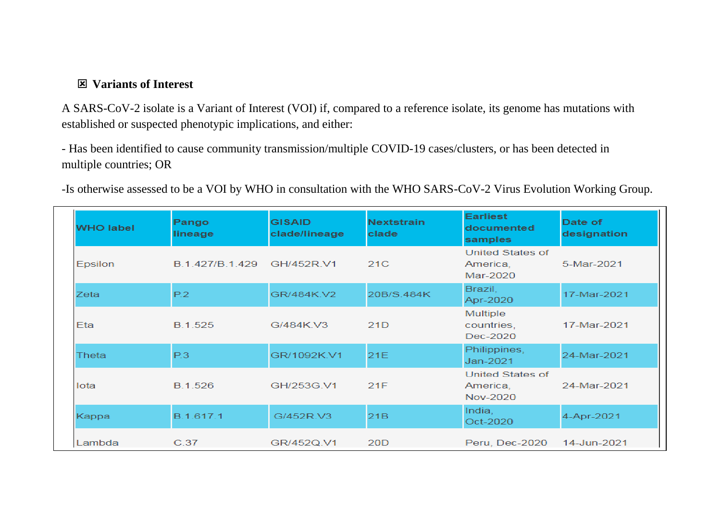## **Variants of Interest**

A SARS-CoV-2 isolate is a Variant of Interest (VOI) if, compared to a reference isolate, its genome has mutations with established or suspected phenotypic implications, and either:

- Has been identified to cause community transmission/multiple COVID-19 cases/clusters, or has been detected in multiple countries; OR

-Is otherwise assessed to be a VOI by WHO in consultation with the WHO SARS-CoV-2 Virus Evolution Working Group.

| <b>WHO label</b> | Pango<br>lineage | <b>GISAID</b><br>clade/lineage | <b>Nextstrain</b><br>clade | <b>Earliest</b><br>documented<br>samples          | Date of<br>designation |
|------------------|------------------|--------------------------------|----------------------------|---------------------------------------------------|------------------------|
| <b>Epsilon</b>   | B.1.427/B.1.429  | GH/452R.V1                     | 21C                        | <b>United States of</b><br>America,<br>$Mar-2020$ | 5-Mar-2021             |
| Zeta             | P.2              | GR/484K V2                     | 20B/S.484K                 | Brazil,<br>Apr-2020                               | 17-Mar-2021            |
| Eta              | B.1.525          | G/484K V3                      | 21D                        | Multiple<br>countries,<br>Dec-2020                | 17-Mar-2021            |
| Thetal           | P.3              | GR/1092K.V1                    | 21E                        | Philippines,<br>Jan-2021                          | 24-Mar-2021            |
| lota             | B.1.526          | GH/253G.V1                     | 21F                        | <b>United States of</b><br>America,<br>Nov-2020   | 24-Mar-2021            |
| Kappa            | B.1.617.1        | G/452R.V3                      | 21B                        | India,<br>Oct-2020                                | 4-Apr-2021             |
| Lambda           | C.37             | GR/452Q.V1                     | 20 <sub>D</sub>            | Peru, Dec-2020                                    | 14-Jun-2021            |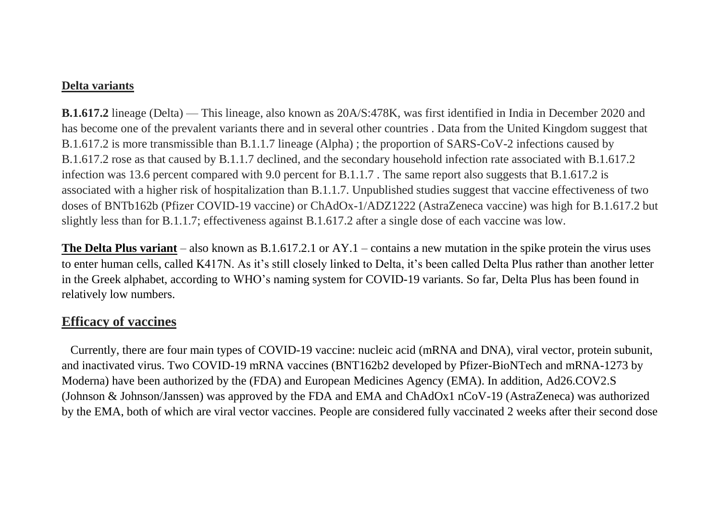### **Delta variants**

**B.1.617.2** lineage (Delta) — This lineage, also known as 20A/S:478K, was first identified in India in December 2020 and has become one of the prevalent variants there and in several other countries . Data from the United Kingdom suggest that B.1.617.2 is more transmissible than B.1.1.7 lineage (Alpha) ; the proportion of SARS-CoV-2 infections caused by B.1.617.2 rose as that caused by B.1.1.7 declined, and the secondary household infection rate associated with B.1.617.2 infection was 13.6 percent compared with 9.0 percent for B.1.1.7 . The same report also suggests that B.1.617.2 is associated with a higher risk of hospitalization than B.1.1.7. Unpublished studies suggest that vaccine effectiveness of two doses of BNTb162b (Pfizer COVID-19 vaccine) or ChAdOx-1/ADZ1222 (AstraZeneca vaccine) was high for B.1.617.2 but slightly less than for B.1.1.7; effectiveness against B.1.617.2 after a single dose of each vaccine was low.

**The Delta Plus variant** – also known as B.1.617.2.1 or AY.1 – contains a new mutation in the spike protein the virus uses to enter human cells, called K417N. As it's still closely linked to Delta, it's been called Delta Plus rather than another letter in the Greek alphabet, according to WHO's [naming system](https://www.who.int/en/activities/tracking-SARS-CoV-2-variants/) for COVID-19 variants. So far, Delta Plus has been found in relatively low numbers.

# **Efficacy of vaccines**

Currently, there are four main types of COVID-19 vaccine: nucleic acid (mRNA and DNA), viral vector, protein subunit, and inactivated virus. Two COVID-19 mRNA vaccines (BNT162b2 developed by Pfizer-BioNTech and mRNA-1273 by Moderna) have been authorized by the (FDA) and European Medicines Agency (EMA). In addition, Ad26.COV2.S (Johnson & Johnson/Janssen) was approved by the FDA and EMA and ChAdOx1 nCoV-19 (AstraZeneca) was authorized by the EMA, both of which are viral vector vaccines. People are considered fully vaccinated 2 weeks after their second dose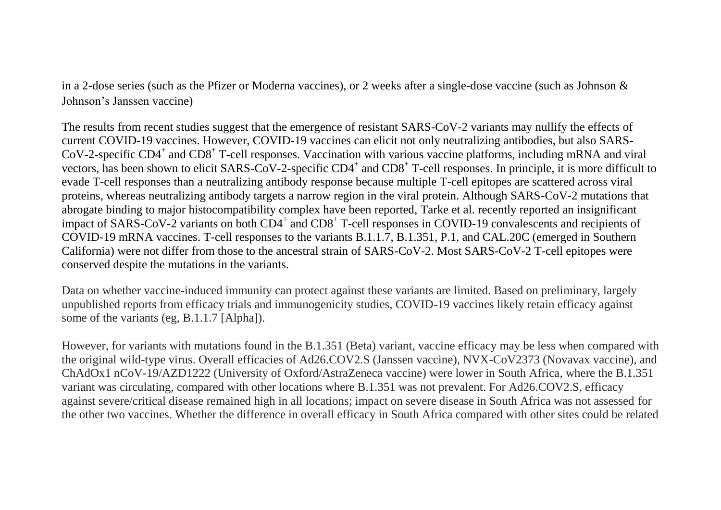in a 2-dose series (such as the [Pfizer](https://www.cdc.gov/coronavirus/2019-ncov/vaccines/different-vaccines/Pfizer-BioNTech.html) or [Moderna](https://www.cdc.gov/coronavirus/2019-ncov/vaccines/different-vaccines/Moderna.html) vaccines), or 2 weeks after a single-dose vaccine (such as [Johnson &](https://www.cdc.gov/coronavirus/2019-ncov/vaccines/different-vaccines/janssen.html)  [Johnson's Janssen](https://www.cdc.gov/coronavirus/2019-ncov/vaccines/different-vaccines/janssen.html) vaccine)

The results from recent studies suggest that the emergence of resistant SARS-CoV-2 variants may nullify the effects of current COVID-19 vaccines. However, COVID-19 vaccines can elicit not only neutralizing antibodies, but also SARS-CoV-2-specific CD4<sup>+</sup> and CD8<sup>+</sup> T-cell responses. Vaccination with various vaccine platforms, including mRNA and viral vectors, has been shown to elicit SARS-CoV-2-specific CD4<sup>+</sup> and CD8<sup>+</sup> T-cell responses. In principle, it is more difficult to evade T-cell responses than a neutralizing antibody response because multiple T-cell epitopes are scattered across viral proteins, whereas neutralizing antibody targets a narrow region in the viral protein. Although SARS-CoV-2 mutations that abrogate binding to major histocompatibility complex have been reported, Tarke et al. recently reported an insignificant impact of SARS-CoV-2 variants on both CD4<sup>+</sup> and CD8<sup>+</sup> T-cell responses in COVID-19 convalescents and recipients of COVID-19 mRNA vaccines. T-cell responses to the variants B.1.1.7, B.1.351, P.1, and CAL.20C (emerged in Southern California) were not differ from those to the ancestral strain of SARS-CoV-2. Most SARS-CoV-2 T-cell epitopes were conserved despite the mutations in the variants.

Data on whether vaccine-induced immunity can protect against these variants are limited. Based on preliminary, largely unpublished reports from efficacy trials and immunogenicity studies, COVID-19 vaccines likely retain efficacy against some of the variants (eg, B.1.1.7 [Alpha]).

However, for variants with mutations found in the B.1.351 (Beta) variant, vaccine efficacy may be less when compared with the original wild-type virus. Overall efficacies of Ad26.COV2.S (Janssen vaccine), NVX-CoV2373 (Novavax vaccine), and ChAdOx1 nCoV-19/AZD1222 (University of Oxford/AstraZeneca vaccine) were lower in South Africa, where the B.1.351 variant was circulating, compared with other locations where B.1.351 was not prevalent. For Ad26.COV2.S, efficacy against severe/critical disease remained high in all locations; impact on severe disease in South Africa was not assessed for the other two vaccines. Whether the difference in overall efficacy in South Africa compared with other sites could be related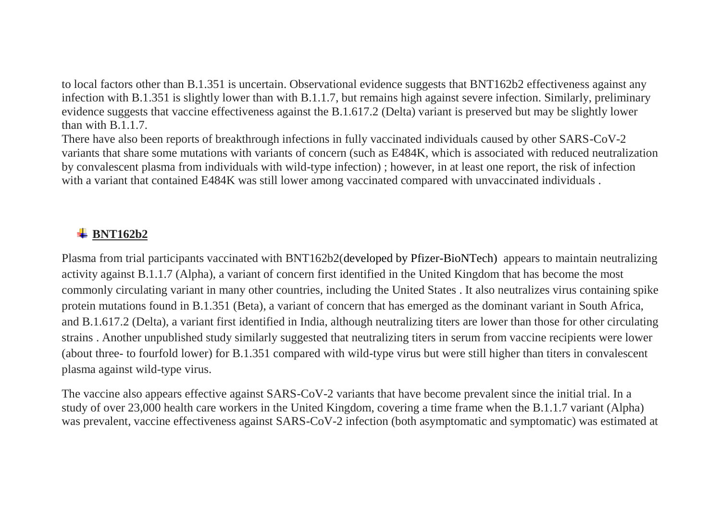to local factors other than B.1.351 is uncertain. Observational evidence suggests that BNT162b2 effectiveness against any infection with B.1.351 is slightly lower than with B.1.1.7, but remains high against severe infection. Similarly, preliminary evidence suggests that vaccine effectiveness against the B.1.617.2 (Delta) variant is preserved but may be slightly lower than with B 1 1 7

There have also been reports of breakthrough infections in fully vaccinated individuals caused by other SARS-CoV-2 variants that share some mutations with variants of concern (such as E484K, which is associated with reduced neutralization by convalescent plasma from individuals with wild-type infection) ; however, in at least one report, the risk of infection with a variant that contained E484K was still lower among vaccinated compared with unvaccinated individuals.

# **BNT162b2**

Plasma from trial participants vaccinated with BNT162b2(developed by Pfizer-BioNTech) appears to maintain neutralizing activity against B.1.1.7 (Alpha), a variant of concern first identified in the United Kingdom that has become the most commonly circulating variant in many other countries, including the United States . It also neutralizes virus containing spike protein mutations found in B.1.351 (Beta), a variant of concern that has emerged as the dominant variant in South Africa, and B.1.617.2 (Delta), a variant first identified in India, although neutralizing titers are lower than those for other circulating strains . Another unpublished study similarly suggested that neutralizing titers in serum from vaccine recipients were lower (about three- to fourfold lower) for B.1.351 compared with wild-type virus but were still higher than titers in convalescent plasma against wild-type virus.

The vaccine also appears effective against SARS-CoV-2 variants that have become prevalent since the initial trial. In a study of over 23,000 health care workers in the United Kingdom, covering a time frame when the B.1.1.7 variant (Alpha) was prevalent, vaccine effectiveness against SARS-CoV-2 infection (both asymptomatic and symptomatic) was estimated at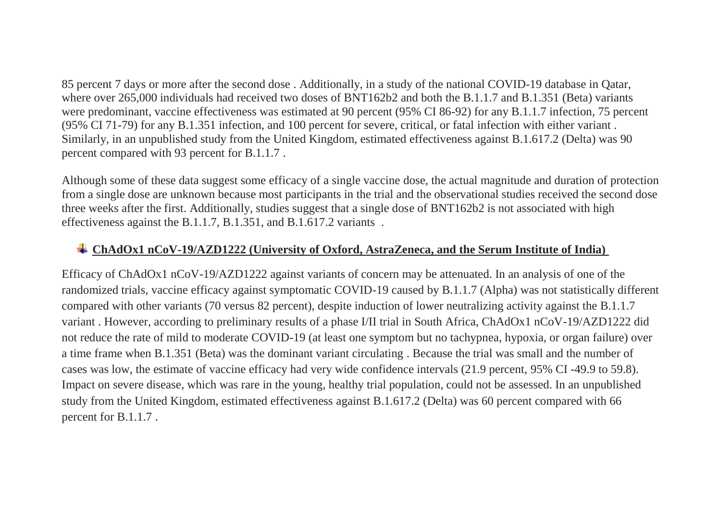85 percent 7 days or more after the second dose . Additionally, in a study of the national COVID-19 database in Qatar, where over 265,000 individuals had received two doses of BNT162b2 and both the B.1.1.7 and B.1.351 (Beta) variants were predominant, vaccine effectiveness was estimated at 90 percent (95% CI 86-92) for any B.1.1.7 infection, 75 percent (95% CI 71-79) for any B.1.351 infection, and 100 percent for severe, critical, or fatal infection with either variant . Similarly, in an unpublished study from the United Kingdom, estimated effectiveness against B.1.617.2 (Delta) was 90 percent compared with 93 percent for B.1.1.7 .

Although some of these data suggest some efficacy of a single vaccine dose, the actual magnitude and duration of protection from a single dose are unknown because most participants in the trial and the observational studies received the second dose three weeks after the first. Additionally, studies suggest that a single dose of BNT162b2 is not associated with high effectiveness against the B.1.1.7, B.1.351, and B.1.617.2 variants .

## **ChAdOx1 nCoV-19/AZD1222 (University of Oxford, AstraZeneca, and the Serum Institute of India)**

Efficacy of ChAdOx1 nCoV-19/AZD1222 against variants of concern may be attenuated. In an analysis of one of the randomized trials, vaccine efficacy against symptomatic COVID-19 caused by B.1.1.7 (Alpha) was not statistically different compared with other variants (70 versus 82 percent), despite induction of lower neutralizing activity against the B.1.1.7 variant . However, according to preliminary results of a phase I/II trial in South Africa, ChAdOx1 nCoV-19/AZD1222 did not reduce the rate of mild to moderate COVID-19 (at least one symptom but no tachypnea, hypoxia, or organ failure) over a time frame when B.1.351 (Beta) was the dominant variant circulating . Because the trial was small and the number of cases was low, the estimate of vaccine efficacy had very wide confidence intervals (21.9 percent, 95% CI -49.9 to 59.8). Impact on severe disease, which was rare in the young, healthy trial population, could not be assessed. In an unpublished study from the United Kingdom, estimated effectiveness against B.1.617.2 (Delta) was 60 percent compared with 66 percent for B.1.1.7 .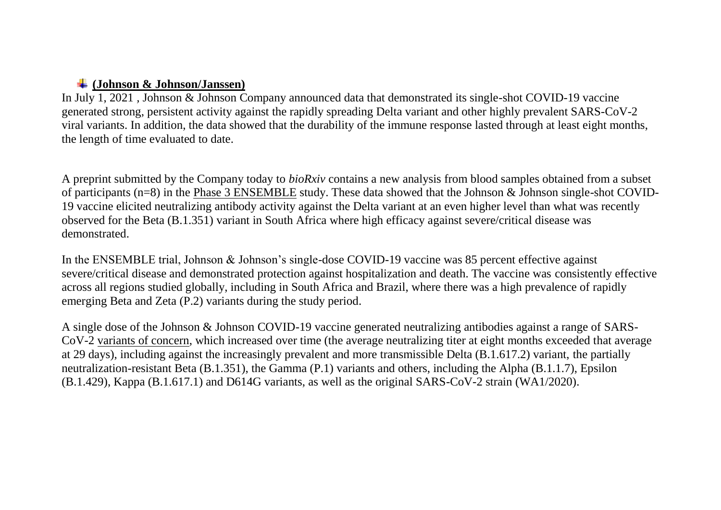### **(Johnson & Johnson/Janssen)**

In July 1, 2021 *,* Johnson & Johnson Company announced data that demonstrated its single-shot COVID-19 vaccine generated strong, persistent activity against the rapidly spreading Delta variant and other highly prevalent SARS-CoV-2 viral variants. In addition, the data showed that the durability of the immune response lasted through at least eight months, the length of time evaluated to date.

A preprint submitted by the Company today to *bioRxiv* contains a new analysis from blood samples obtained from a subset of participants (n=8) in the [Phase 3 ENSEMBLE](https://www.jnj.com/johnson-johnson-single-shot-covid-19-vaccine-phase-3-data-published-in-new-england-journal-of-medicine) study. These data showed that the Johnson & Johnson single-shot COVID-19 vaccine elicited neutralizing antibody activity against the Delta variant at an even higher level than what was recently observed for the Beta (B.1.351) variant in South Africa where high efficacy against severe/critical disease was demonstrated.

In the ENSEMBLE trial, Johnson & Johnson's single-dose COVID-19 vaccine was 85 percent effective against severe/critical disease and demonstrated protection against hospitalization and death. The vaccine was consistently effective across all regions studied globally, including in South Africa and Brazil, where there was a high prevalence of rapidly emerging Beta and Zeta (P.2) variants during the study period.

A single dose of the Johnson & Johnson COVID-19 vaccine generated neutralizing antibodies against a range of SARS-CoV-2 [variants of concern,](https://www.who.int/en/activities/tracking-SARS-CoV-2-variants/) which increased over time (the average neutralizing titer at eight months exceeded that average at 29 days), including against the increasingly prevalent and more transmissible Delta (B.1.617.2) variant, the partially neutralization-resistant Beta (B.1.351), the Gamma (P.1) variants and others, including the Alpha (B.1.1.7), Epsilon (B.1.429), Kappa (B.1.617.1) and D614G variants, as well as the original SARS-CoV-2 strain (WA1/2020).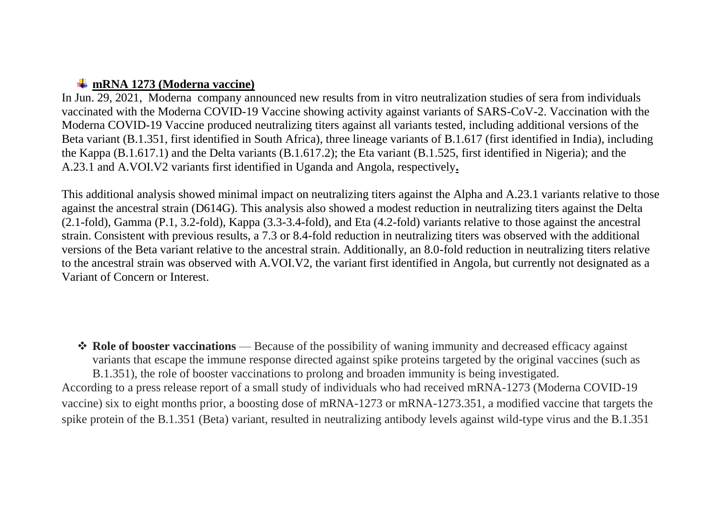### **mRNA 1273 (Moderna vaccine)**

In Jun. 29, 2021, Moderna company announced new results from in vitro neutralization studies of sera from individuals vaccinated with the Moderna COVID-19 Vaccine showing activity against variants of SARS-CoV-2. Vaccination with the Moderna COVID-19 Vaccine produced neutralizing titers against all variants tested, including additional versions of the Beta variant (B.1.351, first identified in South Africa), three lineage variants of B.1.617 (first identified in India), including the Kappa (B.1.617.1) and the Delta variants (B.1.617.2); the Eta variant (B.1.525, first identified in Nigeria); and the A.23.1 and A.VOI.V2 variants first identified in Uganda and Angola, respectively**.**

This additional analysis showed minimal impact on neutralizing titers against the Alpha and A.23.1 variants relative to those against the ancestral strain (D614G). This analysis also showed a modest reduction in neutralizing titers against the Delta (2.1-fold), Gamma (P.1, 3.2-fold), Kappa (3.3-3.4-fold), and Eta (4.2-fold) variants relative to those against the ancestral strain. Consistent with previous results, a 7.3 or 8.4-fold reduction in neutralizing titers was observed with the additional versions of the Beta variant relative to the ancestral strain. Additionally, an 8.0-fold reduction in neutralizing titers relative to the ancestral strain was observed with A.VOI.V2, the variant first identified in Angola, but currently not designated as a Variant of Concern or Interest.

 $\triangle$  **Role of booster vaccinations** — Because of the possibility of waning immunity and decreased efficacy against variants that escape the immune response directed against spike proteins targeted by the original vaccines (such as B.1.351), the role of booster vaccinations to prolong and broaden immunity is being investigated. According to a press release report of a small study of individuals who had received mRNA-1273 (Moderna COVID-19 vaccine) six to eight months prior, a boosting dose of mRNA-1273 or mRNA-1273.351, a modified vaccine that targets the spike protein of the B.1.351 (Beta) variant, resulted in neutralizing antibody levels against wild-type virus and the B.1.351